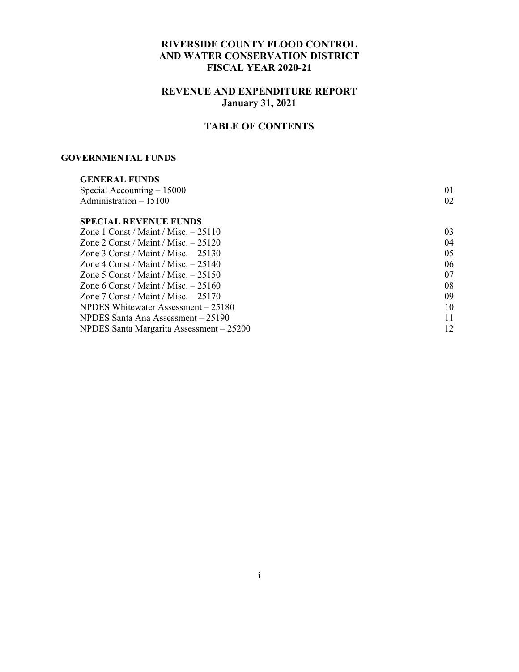#### **RIVERSIDE COUNTY FLOOD CONTROL AND WATER CONSERVATION DISTRICT FISCAL YEAR 2020-21**

#### **REVENUE AND EXPENDITURE REPORT January 31, 2021**

#### **TABLE OF CONTENTS**

#### **GOVERNMENTAL FUNDS**

| <b>GENERAL FUNDS</b>                     |    |
|------------------------------------------|----|
| Special Accounting $-15000$              | 01 |
| Administration $-15100$                  | 02 |
| <b>SPECIAL REVENUE FUNDS</b>             |    |
| Zone 1 Const / Maint / Misc. $-25110$    | 03 |
| Zone 2 Const / Maint / Misc. $-25120$    | 04 |
| Zone 3 Const / Maint / Misc. $-25130$    | 05 |
| Zone 4 Const / Maint / Misc. $-25140$    | 06 |
| Zone 5 Const / Maint / Misc. $-25150$    | 07 |
| Zone 6 Const / Maint / Misc. $-25160$    | 08 |
| Zone 7 Const / Maint / Misc. $-25170$    | 09 |
| NPDES Whitewater Assessment – 25180      | 10 |
| NPDES Santa Ana Assessment – 25190       | 11 |
| NPDES Santa Margarita Assessment - 25200 | 12 |
|                                          |    |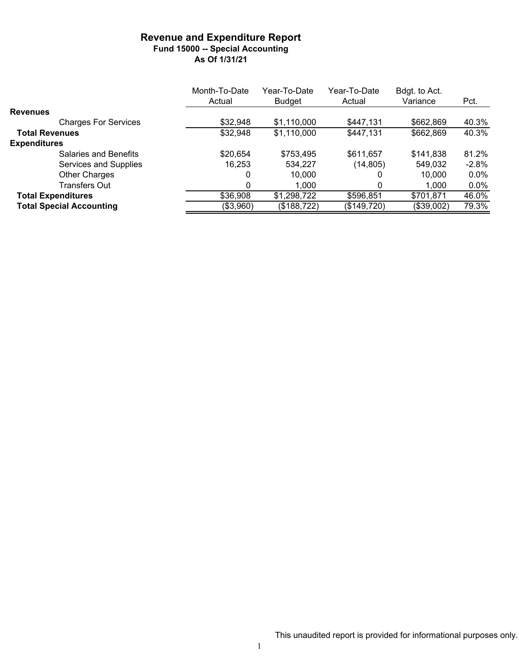#### **Revenue and Expenditure Report Fund 15000 -- Special Accounting As Of 1/31/21**

|                                 | Month-To-Date | Year-To-Date  | Year-To-Date | Bdgt. to Act. |         |
|---------------------------------|---------------|---------------|--------------|---------------|---------|
|                                 | Actual        | <b>Budget</b> | Actual       | Variance      | Pct.    |
| <b>Revenues</b>                 |               |               |              |               |         |
| <b>Charges For Services</b>     | \$32,948      | \$1,110,000   | \$447,131    | \$662,869     | 40.3%   |
| <b>Total Revenues</b>           | \$32,948      | \$1,110,000   | \$447,131    | \$662,869     | 40.3%   |
| <b>Expenditures</b>             |               |               |              |               |         |
| Salaries and Benefits           | \$20,654      | \$753,495     | \$611,657    | \$141,838     | 81.2%   |
| Services and Supplies           | 16,253        | 534,227       | (14,805)     | 549,032       | $-2.8%$ |
| Other Charges                   | 0             | 10,000        |              | 10,000        | $0.0\%$ |
| <b>Transfers Out</b>            | 0             | 1.000         |              | 1.000         | $0.0\%$ |
| <b>Total Expenditures</b>       | \$36,908      | \$1,298,722   | \$596,851    | \$701,871     | 46.0%   |
| <b>Total Special Accounting</b> | (\$3,960)     | (\$188,722)   | (\$149,720)  | (\$39,002)    | 79.3%   |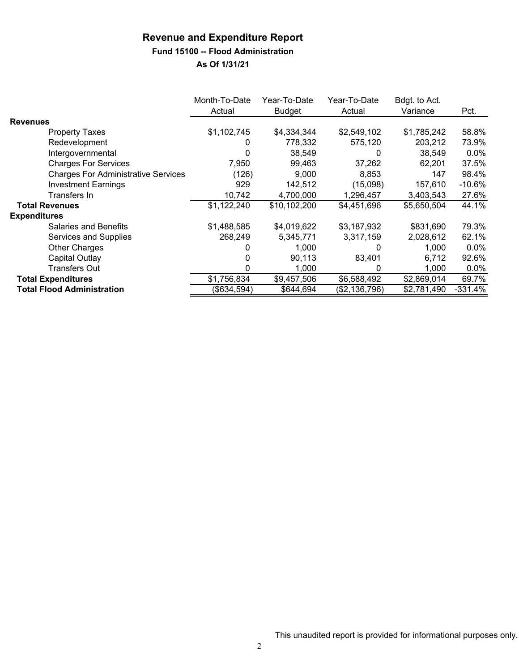#### **Fund 15100 -- Flood Administration**

|                                            | Month-To-Date<br>Actual | Year-To-Date<br><b>Budget</b> | Year-To-Date<br>Actual | Bdgt. to Act.<br>Variance | Pct.      |
|--------------------------------------------|-------------------------|-------------------------------|------------------------|---------------------------|-----------|
| <b>Revenues</b>                            |                         |                               |                        |                           |           |
| <b>Property Taxes</b>                      | \$1,102,745             | \$4,334,344                   | \$2,549,102            | \$1,785,242               | 58.8%     |
| Redevelopment                              | 0                       | 778,332                       | 575,120                | 203,212                   | 73.9%     |
| Intergovernmental                          |                         | 38,549                        | $\Omega$               | 38,549                    | $0.0\%$   |
| <b>Charges For Services</b>                | 7.950                   | 99,463                        | 37,262                 | 62,201                    | 37.5%     |
| <b>Charges For Administrative Services</b> | (126)                   | 9,000                         | 8,853                  | 147                       | 98.4%     |
| <b>Investment Earnings</b>                 | 929                     | 142,512                       | (15,098)               | 157,610                   | $-10.6%$  |
| Transfers In                               | 10,742                  | 4,700,000                     | 1,296,457              | 3,403,543                 | 27.6%     |
| <b>Total Revenues</b>                      | \$1,122,240             | \$10,102,200                  | \$4,451,696            | \$5,650,504               | 44.1%     |
| <b>Expenditures</b>                        |                         |                               |                        |                           |           |
| <b>Salaries and Benefits</b>               | \$1,488,585             | \$4,019,622                   | \$3,187,932            | \$831,690                 | 79.3%     |
| Services and Supplies                      | 268.249                 | 5,345,771                     | 3,317,159              | 2,028,612                 | 62.1%     |
| <b>Other Charges</b>                       |                         | 1,000                         |                        | 1.000                     | $0.0\%$   |
| Capital Outlay                             |                         | 90,113                        | 83,401                 | 6,712                     | 92.6%     |
| <b>Transfers Out</b>                       | 0                       | 1,000                         | 0                      | 1,000                     | $0.0\%$   |
| <b>Total Expenditures</b>                  | \$1,756,834             | \$9,457,506                   | \$6,588,492            | \$2,869,014               | 69.7%     |
| <b>Total Flood Administration</b>          | (\$634,594)             | \$644,694                     | (\$2,136,796)          | \$2,781,490               | $-331.4%$ |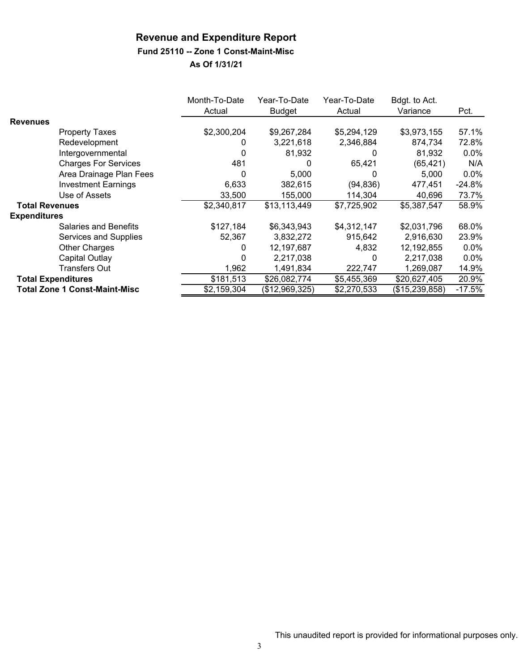#### **Fund 25110 -- Zone 1 Const-Maint-Misc**

|                           |                                      | Month-To-Date<br>Actual | Year-To-Date<br>Budget | Year-To-Date<br>Actual | Bdgt. to Act.<br>Variance | Pct.     |
|---------------------------|--------------------------------------|-------------------------|------------------------|------------------------|---------------------------|----------|
| <b>Revenues</b>           |                                      |                         |                        |                        |                           |          |
|                           | <b>Property Taxes</b>                | \$2,300,204             | \$9,267,284            | \$5,294,129            | \$3,973,155               | 57.1%    |
|                           | Redevelopment                        | 0                       | 3,221,618              | 2,346,884              | 874,734                   | 72.8%    |
|                           | Intergovernmental                    |                         | 81,932                 | 0                      | 81,932                    | 0.0%     |
|                           | <b>Charges For Services</b>          | 481                     | 0                      | 65,421                 | (65, 421)                 | N/A      |
|                           | Area Drainage Plan Fees              | 0                       | 5,000                  | $\Omega$               | 5,000                     | $0.0\%$  |
|                           | <b>Investment Earnings</b>           | 6,633                   | 382,615                | (94, 836)              | 477,451                   | $-24.8%$ |
|                           | Use of Assets                        | 33,500                  | 155,000                | 114,304                | 40,696                    | 73.7%    |
| <b>Total Revenues</b>     |                                      | \$2,340,817             | \$13,113,449           | \$7,725,902            | \$5,387,547               | 58.9%    |
| <b>Expenditures</b>       |                                      |                         |                        |                        |                           |          |
|                           | <b>Salaries and Benefits</b>         | \$127,184               | \$6,343,943            | \$4,312,147            | \$2,031,796               | 68.0%    |
|                           | Services and Supplies                | 52,367                  | 3,832,272              | 915,642                | 2,916,630                 | 23.9%    |
|                           | <b>Other Charges</b>                 | 0                       | 12,197,687             | 4,832                  | 12, 192, 855              | $0.0\%$  |
|                           | Capital Outlay                       |                         | 2,217,038              | 0                      | 2,217,038                 | 0.0%     |
|                           | <b>Transfers Out</b>                 | 1,962                   | 1,491,834              | 222,747                | 1,269,087                 | 14.9%    |
| <b>Total Expenditures</b> |                                      | \$181,513               | \$26,082,774           | \$5,455,369            | \$20,627,405              | 20.9%    |
|                           | <b>Total Zone 1 Const-Maint-Misc</b> | \$2,159,304             | (\$12,969,325)         | \$2,270,533            | (\$15,239,858)            | $-17.5%$ |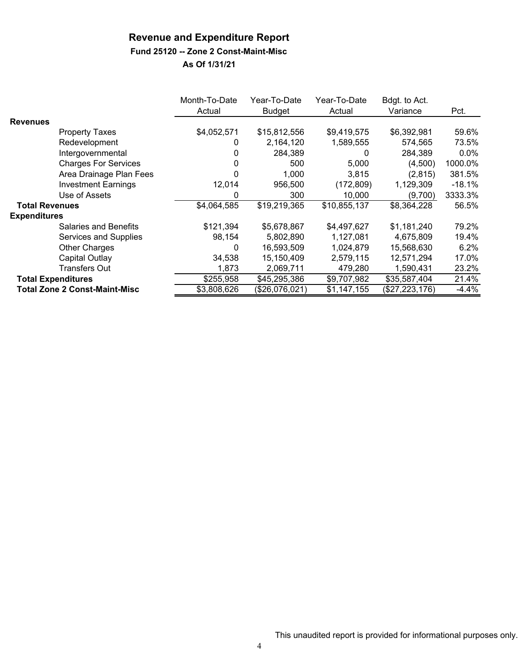#### **Fund 25120 -- Zone 2 Const-Maint-Misc**

|                       |                                      | Month-To-Date<br>Actual | Year-To-Date<br><b>Budget</b> | Year-To-Date<br>Actual | Bdgt. to Act.<br>Variance | Pct.     |
|-----------------------|--------------------------------------|-------------------------|-------------------------------|------------------------|---------------------------|----------|
| <b>Revenues</b>       |                                      |                         |                               |                        |                           |          |
|                       | <b>Property Taxes</b>                | \$4,052,571             | \$15,812,556                  | \$9,419,575            | \$6,392,981               | 59.6%    |
|                       | Redevelopment                        | 0                       | 2,164,120                     | 1,589,555              | 574,565                   | 73.5%    |
|                       | Intergovernmental                    | 0                       | 284,389                       | 0                      | 284,389                   | $0.0\%$  |
|                       | <b>Charges For Services</b>          |                         | 500                           | 5,000                  | (4,500)                   | 1000.0%  |
|                       | Area Drainage Plan Fees              |                         | 1,000                         | 3,815                  | (2,815)                   | 381.5%   |
|                       | <b>Investment Earnings</b>           | 12,014                  | 956,500                       | (172, 809)             | 1,129,309                 | $-18.1%$ |
|                       | Use of Assets                        | 0                       | 300                           | 10,000                 | (9,700)                   | 3333.3%  |
| <b>Total Revenues</b> |                                      | \$4,064,585             | \$19,219,365                  | \$10,855,137           | \$8,364,228               | 56.5%    |
| <b>Expenditures</b>   |                                      |                         |                               |                        |                           |          |
|                       | <b>Salaries and Benefits</b>         | \$121,394               | \$5,678,867                   | \$4,497,627            | \$1,181,240               | 79.2%    |
|                       | Services and Supplies                | 98,154                  | 5,802,890                     | 1,127,081              | 4,675,809                 | 19.4%    |
|                       | Other Charges                        | 0                       | 16,593,509                    | 1,024,879              | 15,568,630                | 6.2%     |
|                       | Capital Outlay                       | 34,538                  | 15,150,409                    | 2,579,115              | 12,571,294                | 17.0%    |
|                       | <b>Transfers Out</b>                 | 1,873                   | 2,069,711                     | 479,280                | 1,590,431                 | 23.2%    |
|                       | <b>Total Expenditures</b>            | \$255,958               | \$45,295,386                  | \$9,707,982            | \$35,587,404              | 21.4%    |
|                       | <b>Total Zone 2 Const-Maint-Misc</b> | \$3,808,626             | (\$26,076,021)                | \$1,147,155            | (\$27,223,176)            | $-4.4%$  |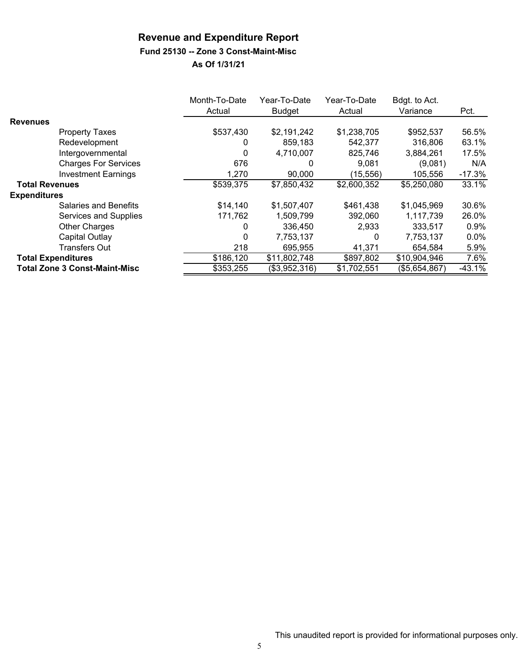### **Fund 25130 -- Zone 3 Const-Maint-Misc**

|                                      | Month-To-Date<br>Actual | Year-To-Date<br><b>Budget</b> | Year-To-Date<br>Actual | Bdgt. to Act.<br>Variance | Pct.     |
|--------------------------------------|-------------------------|-------------------------------|------------------------|---------------------------|----------|
| <b>Revenues</b>                      |                         |                               |                        |                           |          |
| <b>Property Taxes</b>                | \$537,430               | \$2,191,242                   | \$1,238,705            | \$952,537                 | 56.5%    |
| Redevelopment                        | 0                       | 859,183                       | 542,377                | 316,806                   | 63.1%    |
| Intergovernmental                    | 0                       | 4,710,007                     | 825,746                | 3,884,261                 | 17.5%    |
| <b>Charges For Services</b>          | 676                     | 0                             | 9.081                  | (9,081)                   | N/A      |
| <b>Investment Earnings</b>           | 1,270                   | 90,000                        | (15, 556)              | 105,556                   | $-17.3%$ |
| <b>Total Revenues</b>                | \$539,375               | \$7,850,432                   | \$2,600,352            | \$5,250,080               | 33.1%    |
| <b>Expenditures</b>                  |                         |                               |                        |                           |          |
| <b>Salaries and Benefits</b>         | \$14,140                | \$1,507,407                   | \$461,438              | \$1,045,969               | 30.6%    |
| Services and Supplies                | 171,762                 | 1,509,799                     | 392,060                | 1,117,739                 | 26.0%    |
| <b>Other Charges</b>                 | 0                       | 336,450                       | 2,933                  | 333,517                   | $0.9\%$  |
| Capital Outlay                       | $\Omega$                | 7,753,137                     | 0                      | 7,753,137                 | $0.0\%$  |
| <b>Transfers Out</b>                 | 218                     | 695,955                       | 41,371                 | 654,584                   | 5.9%     |
| <b>Total Expenditures</b>            | \$186,120               | \$11,802,748                  | \$897,802              | \$10,904,946              | 7.6%     |
| <b>Total Zone 3 Const-Maint-Misc</b> | \$353,255               | (\$3,952,316)                 | \$1,702,551            | (\$5,654,867)             | $-43.1%$ |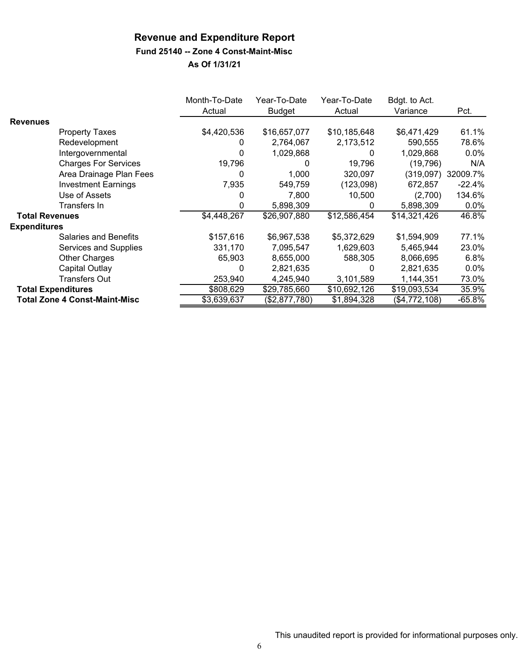#### **Fund 25140 -- Zone 4 Const-Maint-Misc**

|                       |                                      | Month-To-Date | Year-To-Date  | Year-To-Date | Bdgt. to Act. |          |
|-----------------------|--------------------------------------|---------------|---------------|--------------|---------------|----------|
|                       |                                      | Actual        | <b>Budget</b> | Actual       | Variance      | Pct.     |
| <b>Revenues</b>       |                                      |               |               |              |               |          |
|                       | <b>Property Taxes</b>                | \$4,420,536   | \$16,657,077  | \$10,185,648 | \$6,471,429   | 61.1%    |
|                       | Redevelopment                        | 0             | 2,764,067     | 2,173,512    | 590,555       | 78.6%    |
|                       | Intergovernmental                    | 0             | 1,029,868     | 0            | 1,029,868     | $0.0\%$  |
|                       | <b>Charges For Services</b>          | 19,796        | 0             | 19,796       | (19,796)      | N/A      |
|                       | Area Drainage Plan Fees              | 0             | 1.000         | 320,097      | (319,097)     | 32009.7% |
|                       | <b>Investment Earnings</b>           | 7,935         | 549,759       | (123,098)    | 672,857       | $-22.4%$ |
|                       | Use of Assets                        | 0             | 7,800         | 10,500       | (2,700)       | 134.6%   |
|                       | Transfers In                         | 0             | 5,898,309     | 0            | 5,898,309     | $0.0\%$  |
| <b>Total Revenues</b> |                                      | \$4,448,267   | \$26,907,880  | \$12,586,454 | \$14,321,426  | 46.8%    |
| <b>Expenditures</b>   |                                      |               |               |              |               |          |
|                       | <b>Salaries and Benefits</b>         | \$157,616     | \$6,967,538   | \$5,372,629  | \$1,594,909   | 77.1%    |
|                       | Services and Supplies                | 331,170       | 7,095,547     | 1,629,603    | 5,465,944     | 23.0%    |
|                       | Other Charges                        | 65,903        | 8,655,000     | 588,305      | 8,066,695     | 6.8%     |
|                       | Capital Outlay                       | 0             | 2,821,635     | 0            | 2,821,635     | $0.0\%$  |
|                       | <b>Transfers Out</b>                 | 253,940       | 4,245,940     | 3,101,589    | 1,144,351     | 73.0%    |
|                       | <b>Total Expenditures</b>            | \$808,629     | \$29,785,660  | \$10,692,126 | \$19,093,534  | 35.9%    |
|                       | <b>Total Zone 4 Const-Maint-Misc</b> | \$3,639,637   | (\$2,877,780) | \$1,894,328  | (\$4,772,108) | $-65.8%$ |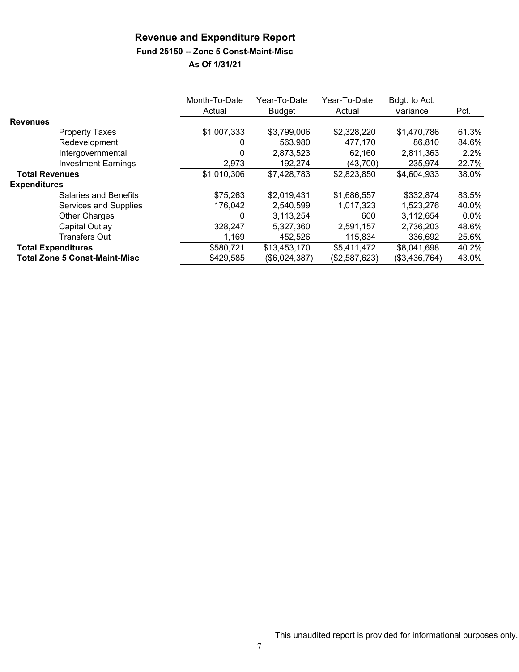#### **Fund 25150 -- Zone 5 Const-Maint-Misc**

|                                      | Month-To-Date<br>Actual | Year-To-Date<br><b>Budget</b> | Year-To-Date<br>Actual | Bdgt. to Act.<br>Variance | Pct.     |
|--------------------------------------|-------------------------|-------------------------------|------------------------|---------------------------|----------|
| <b>Revenues</b>                      |                         |                               |                        |                           |          |
| <b>Property Taxes</b>                | \$1,007,333             | \$3,799,006                   | \$2,328,220            | \$1,470,786               | 61.3%    |
| Redevelopment                        | 0                       | 563.980                       | 477.170                | 86,810                    | 84.6%    |
| Intergovernmental                    | 0                       | 2,873,523                     | 62,160                 | 2,811,363                 | 2.2%     |
| <b>Investment Earnings</b>           | 2,973                   | 192,274                       | (43,700)               | 235,974                   | $-22.7%$ |
| <b>Total Revenues</b>                | \$1,010,306             | \$7,428,783                   | \$2,823,850            | \$4,604,933               | 38.0%    |
| <b>Expenditures</b>                  |                         |                               |                        |                           |          |
| Salaries and Benefits                | \$75,263                | \$2,019,431                   | \$1,686,557            | \$332,874                 | 83.5%    |
| Services and Supplies                | 176.042                 | 2,540,599                     | 1,017,323              | 1,523,276                 | 40.0%    |
| <b>Other Charges</b>                 | 0                       | 3,113,254                     | 600                    | 3,112,654                 | $0.0\%$  |
| Capital Outlay                       | 328,247                 | 5,327,360                     | 2,591,157              | 2,736,203                 | 48.6%    |
| <b>Transfers Out</b>                 | 1,169                   | 452,526                       | 115,834                | 336,692                   | 25.6%    |
| <b>Total Expenditures</b>            | \$580,721               | \$13,453,170                  | \$5,411,472            | \$8,041,698               | 40.2%    |
| <b>Total Zone 5 Const-Maint-Misc</b> | \$429,585               | (\$6,024,387)                 | (\$2,587,623)          | (\$3,436,764)             | 43.0%    |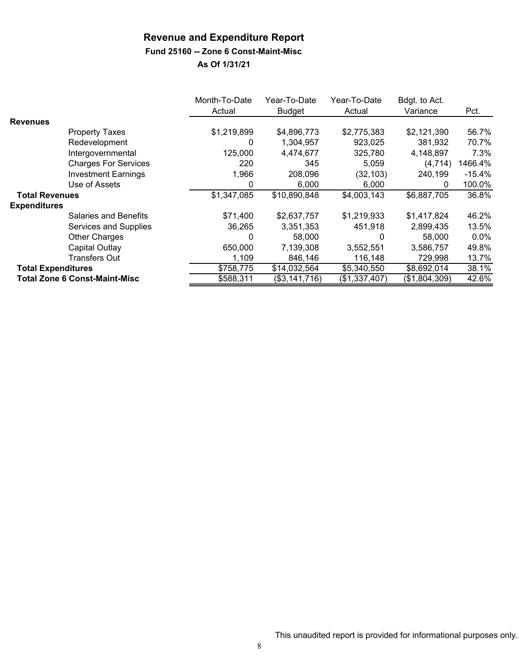#### **Fund 25160 -- Zone 6 Const-Maint-Misc**

|                           |                                      | Month-To-Date | Year-To-Date  | Year-To-Date  | Bdgt. to Act. |          |
|---------------------------|--------------------------------------|---------------|---------------|---------------|---------------|----------|
|                           |                                      | Actual        | <b>Budget</b> | Actual        | Variance      | Pct.     |
| <b>Revenues</b>           |                                      |               |               |               |               |          |
|                           | <b>Property Taxes</b>                | \$1,219,899   | \$4,896,773   | \$2,775,383   | \$2,121,390   | 56.7%    |
|                           | Redevelopment                        | 0             | 1,304,957     | 923,025       | 381,932       | 70.7%    |
|                           | Intergovernmental                    | 125,000       | 4,474,677     | 325,780       | 4,148,897     | 7.3%     |
|                           | <b>Charges For Services</b>          | 220           | 345           | 5,059         | (4, 714)      | 1466.4%  |
|                           | <b>Investment Earnings</b>           | 1,966         | 208,096       | (32, 103)     | 240,199       | $-15.4%$ |
|                           | Use of Assets                        | 0             | 6,000         | 6,000         | 0             | 100.0%   |
| <b>Total Revenues</b>     |                                      | \$1,347,085   | \$10,890,848  | \$4,003,143   | \$6,887,705   | 36.8%    |
| <b>Expenditures</b>       |                                      |               |               |               |               |          |
|                           | Salaries and Benefits                | \$71,400      | \$2,637,757   | \$1,219,933   | \$1,417,824   | 46.2%    |
|                           | Services and Supplies                | 36,265        | 3,351,353     | 451,918       | 2,899,435     | 13.5%    |
|                           | <b>Other Charges</b>                 | 0             | 58,000        | 0             | 58,000        | $0.0\%$  |
|                           | Capital Outlay                       | 650,000       | 7,139,308     | 3,552,551     | 3,586,757     | 49.8%    |
|                           | <b>Transfers Out</b>                 | 1,109         | 846,146       | 116,148       | 729,998       | 13.7%    |
| <b>Total Expenditures</b> |                                      | \$758,775     | \$14,032,564  | \$5,340,550   | \$8,692,014   | 38.1%    |
|                           | <b>Total Zone 6 Const-Maint-Misc</b> | \$588,311     | (\$3,141,716) | (\$1,337,407) | (\$1,804,309) | 42.6%    |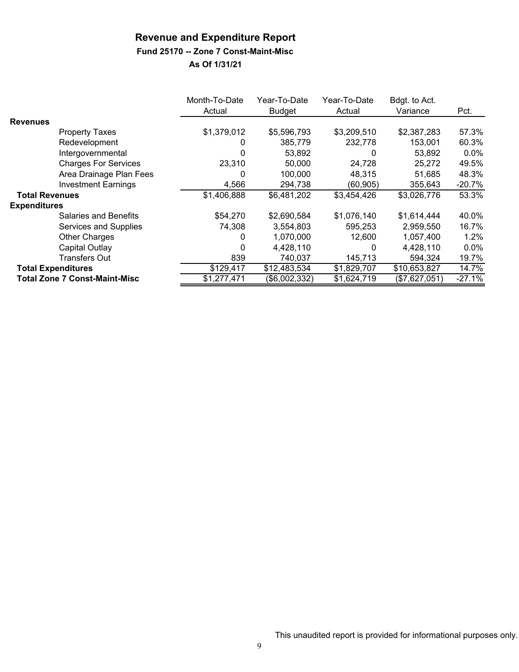#### **Fund 25170 -- Zone 7 Const-Maint-Misc**

|                           |                                      | Month-To-Date | Year-To-Date  | Year-To-Date | Bdgt. to Act. |          |
|---------------------------|--------------------------------------|---------------|---------------|--------------|---------------|----------|
|                           |                                      | Actual        | <b>Budget</b> | Actual       | Variance      | Pct.     |
| <b>Revenues</b>           |                                      |               |               |              |               |          |
|                           | <b>Property Taxes</b>                | \$1,379,012   | \$5,596,793   | \$3,209,510  | \$2,387,283   | 57.3%    |
|                           | Redevelopment                        |               | 385,779       | 232,778      | 153,001       | 60.3%    |
|                           | Intergovernmental                    | 0             | 53,892        | 0            | 53,892        | $0.0\%$  |
|                           | <b>Charges For Services</b>          | 23,310        | 50,000        | 24,728       | 25,272        | 49.5%    |
|                           | Area Drainage Plan Fees              | 0             | 100,000       | 48,315       | 51,685        | 48.3%    |
|                           | <b>Investment Earnings</b>           | 4,566         | 294,738       | (60, 905)    | 355,643       | $-20.7%$ |
| <b>Total Revenues</b>     |                                      | \$1,406,888   | \$6,481,202   | \$3,454,426  | \$3,026,776   | 53.3%    |
| <b>Expenditures</b>       |                                      |               |               |              |               |          |
|                           | Salaries and Benefits                | \$54,270      | \$2,690,584   | \$1,076,140  | \$1,614,444   | 40.0%    |
|                           | Services and Supplies                | 74,308        | 3,554,803     | 595,253      | 2,959,550     | 16.7%    |
|                           | <b>Other Charges</b>                 | 0             | 1,070,000     | 12.600       | 1,057,400     | $1.2\%$  |
|                           | Capital Outlay                       | 0             | 4,428,110     | 0            | 4,428,110     | $0.0\%$  |
|                           | <b>Transfers Out</b>                 | 839           | 740,037       | 145,713      | 594,324       | 19.7%    |
| <b>Total Expenditures</b> |                                      | \$129,417     | \$12,483,534  | \$1,829,707  | \$10,653,827  | 14.7%    |
|                           | <b>Total Zone 7 Const-Maint-Misc</b> | \$1,277,471   | (\$6,002,332) | \$1,624,719  | (\$7,627,051) | $-27.1%$ |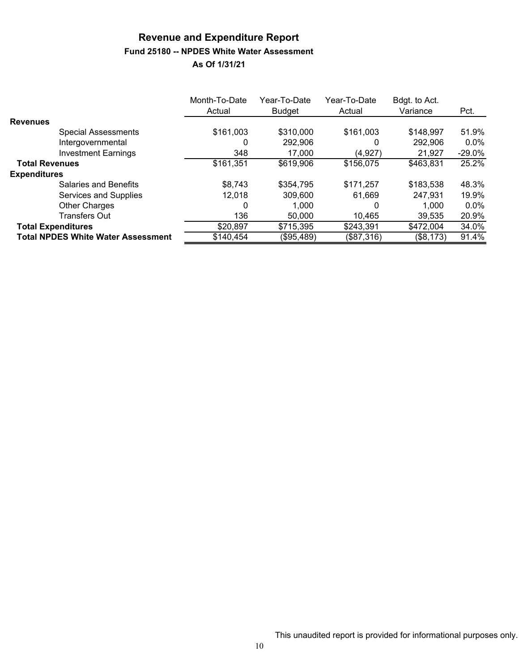# **Revenue and Expenditure Report Fund 25180 -- NPDES White Water Assessment**

|                                           | Month-To-Date<br>Actual | Year-To-Date<br><b>Budget</b> | Year-To-Date<br>Actual | Bdgt. to Act.<br>Variance | Pct.     |
|-------------------------------------------|-------------------------|-------------------------------|------------------------|---------------------------|----------|
| <b>Revenues</b>                           |                         |                               |                        |                           |          |
| <b>Special Assessments</b>                | \$161,003               | \$310,000                     | \$161,003              | \$148,997                 | 51.9%    |
| Intergovernmental                         | 0                       | 292,906                       | 0                      | 292,906                   | $0.0\%$  |
| <b>Investment Earnings</b>                | 348                     | 17.000                        | (4, 927)               | 21,927                    | $-29.0%$ |
| <b>Total Revenues</b>                     | \$161,351               | \$619,906                     | \$156,075              | \$463,831                 | 25.2%    |
| <b>Expenditures</b>                       |                         |                               |                        |                           |          |
| Salaries and Benefits                     | \$8,743                 | \$354,795                     | \$171,257              | \$183,538                 | 48.3%    |
| Services and Supplies                     | 12,018                  | 309,600                       | 61.669                 | 247,931                   | 19.9%    |
| <b>Other Charges</b>                      | 0                       | 1.000                         | 0                      | 1,000                     | $0.0\%$  |
| <b>Transfers Out</b>                      | 136                     | 50,000                        | 10.465                 | 39,535                    | 20.9%    |
| <b>Total Expenditures</b>                 | \$20,897                | \$715,395                     | \$243,391              | \$472,004                 | 34.0%    |
| <b>Total NPDES White Water Assessment</b> | \$140,454               | (\$95,489)                    | (\$87,316)             | (\$8,173)                 | 91.4%    |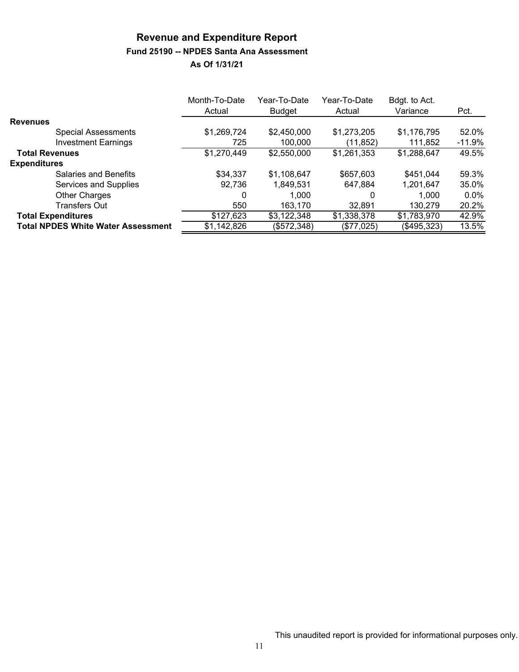#### **Revenue and Expenditure Report Fund 25190 -- NPDES Santa Ana Assessment As Of 1/31/21**

|                                           | Month-To-Date | Year-To-Date  | Year-To-Date | Bdgt. to Act. |          |
|-------------------------------------------|---------------|---------------|--------------|---------------|----------|
|                                           | Actual        | <b>Budget</b> | Actual       | Variance      | Pct.     |
| <b>Revenues</b>                           |               |               |              |               |          |
| <b>Special Assessments</b>                | \$1,269,724   | \$2,450,000   | \$1,273,205  | \$1,176,795   | 52.0%    |
| <b>Investment Earnings</b>                | 725           | 100,000       | (11,852)     | 111,852       | $-11.9%$ |
| <b>Total Revenues</b>                     | \$1,270,449   | \$2,550,000   | \$1,261,353  | \$1,288,647   | 49.5%    |
| <b>Expenditures</b>                       |               |               |              |               |          |
| <b>Salaries and Benefits</b>              | \$34,337      | \$1,108,647   | \$657,603    | \$451,044     | 59.3%    |
| Services and Supplies                     | 92,736        | 1,849,531     | 647,884      | 1,201,647     | 35.0%    |
| Other Charges                             | 0             | 1.000         | 0            | 1.000         | $0.0\%$  |
| <b>Transfers Out</b>                      | 550           | 163.170       | 32,891       | 130,279       | 20.2%    |
| <b>Total Expenditures</b>                 | \$127,623     | \$3,122,348   | \$1,338,378  | \$1,783,970   | 42.9%    |
| <b>Total NPDES White Water Assessment</b> | \$1,142,826   | (\$572,348)   | (\$77,025)   | (\$495,323)   | 13.5%    |